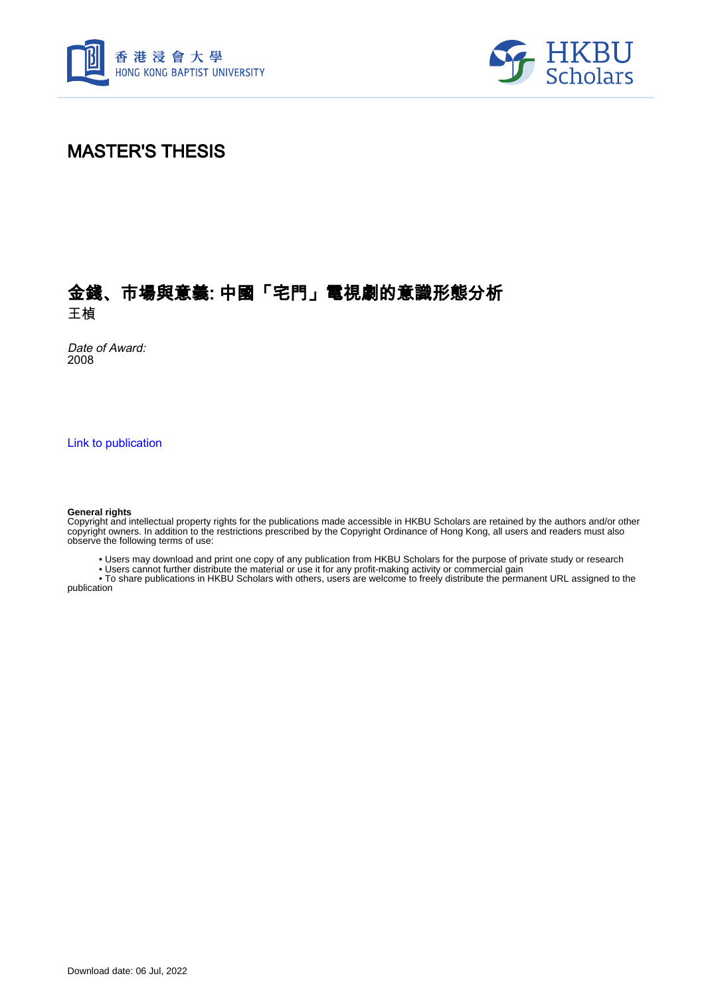



## MASTER'S THESIS

## 金錢、市場與意義: 中國「宅門」電視劇的意識形態分析 王楨

Date of Award: 2008

[Link to publication](https://scholars.hkbu.edu.hk/en/studentTheses/af876451-c552-4535-ac4f-a595c4d45abf)

#### **General rights**

Copyright and intellectual property rights for the publications made accessible in HKBU Scholars are retained by the authors and/or other copyright owners. In addition to the restrictions prescribed by the Copyright Ordinance of Hong Kong, all users and readers must also observe the following terms of use:

• Users may download and print one copy of any publication from HKBU Scholars for the purpose of private study or research

• Users cannot further distribute the material or use it for any profit-making activity or commercial gain

 • To share publications in HKBU Scholars with others, users are welcome to freely distribute the permanent URL assigned to the publication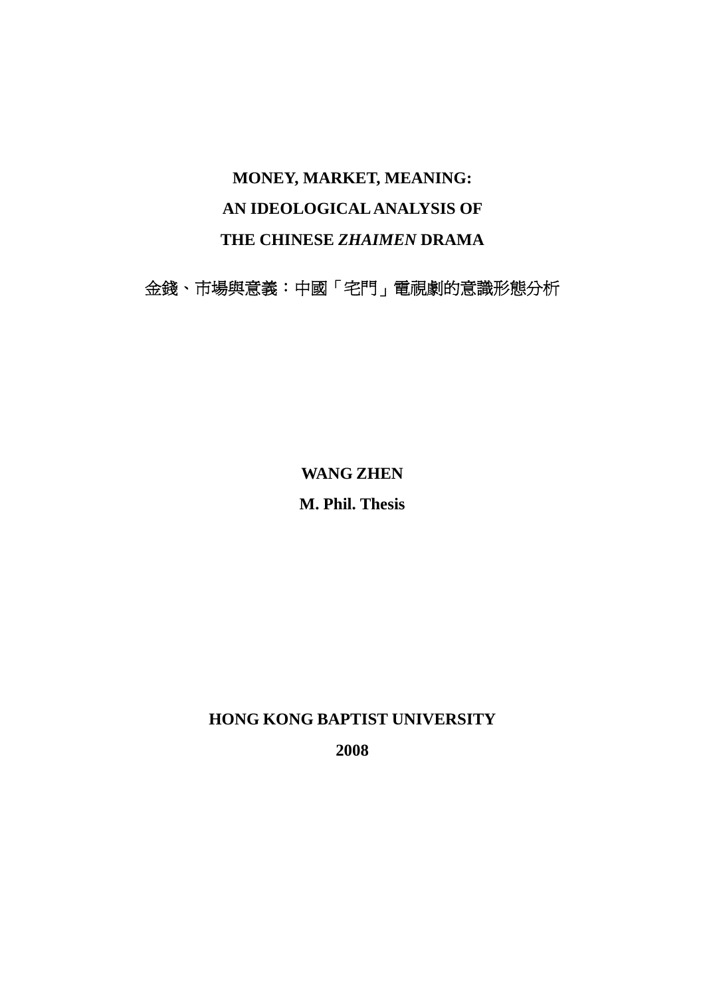## **MONEY, MARKET, MEANING: AN IDEOLOGICAL ANALYSIS OF THE CHINESE** *ZHAIMEN* **DRAMA**

金錢、市場與意義:中國「宅門」電視劇的意識形態分析

**WANG ZHEN** 

**M. Phil. Thesis** 

**HONG KONG BAPTIST UNIVERSITY** 

**2008**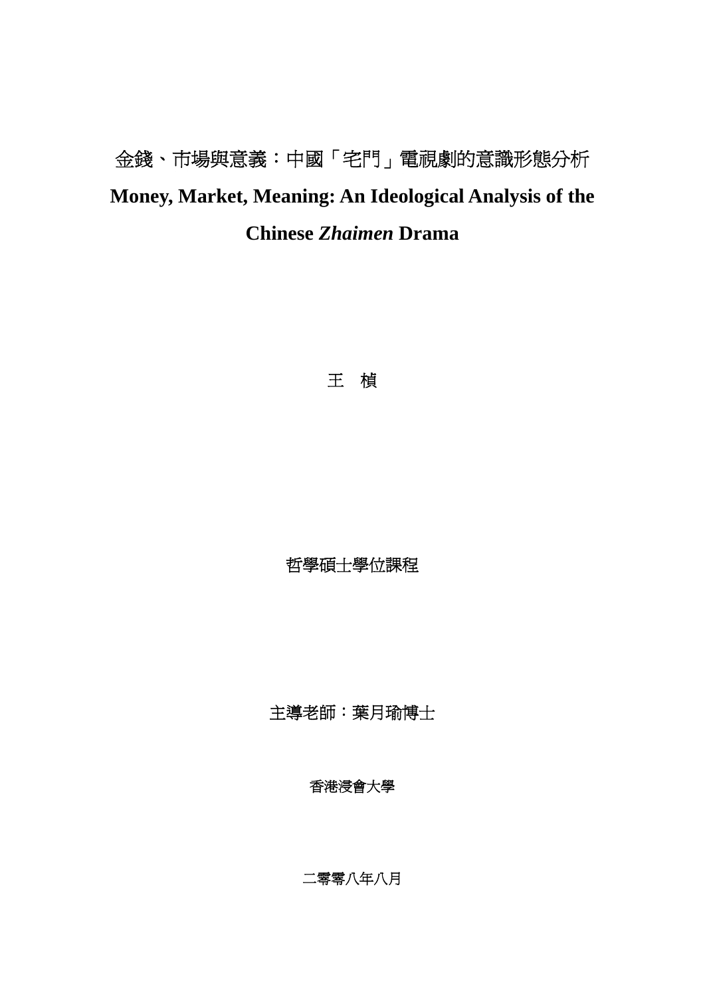# 金錢、市場與意義:中國「宅門」電視劇的意識形態分析 **Money, Market, Meaning: An Ideological Analysis of the Chinese** *Zhaimen* **Drama**

王楨

哲學碩士學位課程

主導老師:葉月瑜博士

香港浸會大學

二零零八年八月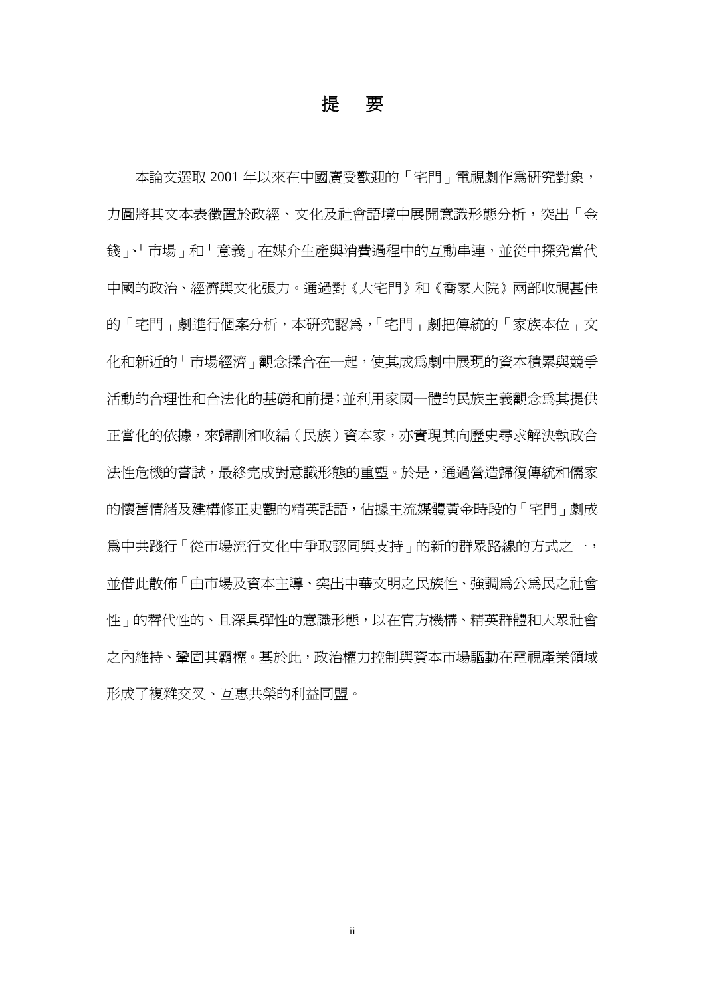## 提要

本論文選取 2001 年以來在中國廣受歡迎的「宅門」電視劇作為研究對象, 力圖將其文本表徵置於政經、文化及社會語境中展開意識形態分析,突出「金 錢」、「市場」和「意義」在媒介生產與消費過程中的互動串連,並從中探究當代 中國的政治、經濟與文化張力。通過對《大宅門》和《喬家大院》兩部收視甚佳 的「宅門」劇進行個案分析,本研究認為,「宅門」劇把傳統的「家族本位」文 化和新沂的「市場經濟」觀念揉合在一起,使其成爲劇中展現的資本積累與競爭 活動的合理性和合法化的基礎和前提;並利用家國一體的民族主義觀念為其提供 正當化的依據,來歸訓和收編(民族)資本家,亦實現其向歷史尋求解決執政合 法性危機的嘗試,最終完成對意識形態的重塑。於是,通過營造歸復傳統和儒家 的懷舊情緒及建構修正史觀的精英話語,佔據主流媒體黃金時段的「宅門」劇成 為中共踐行「從市場流行文化中爭取認同與支持」的新的群眾路線的方式之一, 並借此散佈「由市場及資本主導、突出中華文明之民族性、強調為公為民之社會 性」的替代性的、且深具彈性的意識形態,以在官方機構、精英群體和大眾社會 之內維持、鞏固其霸權。基於此,政治權力控制與資本市場驅動在電視產業領域 形成了複雜交叉、互惠共榮的利益同盟。

ii in de la provincia de la construcción de la construcción de la construcción de la construcción de la construcción<br>En la construcción de la construcción de la construcción de la construcción de la construcción de la cons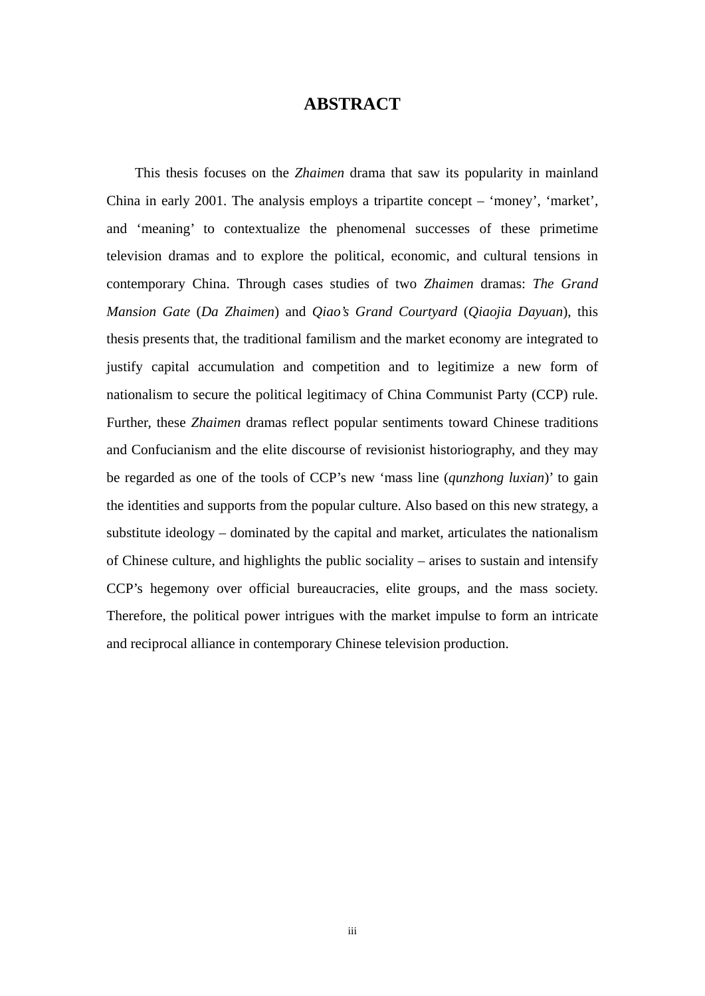## **ABSTRACT**

This thesis focuses on the *Zhaimen* drama that saw its popularity in mainland China in early 2001. The analysis employs a tripartite concept – 'money', 'market', and 'meaning' to contextualize the phenomenal successes of these primetime television dramas and to explore the political, economic, and cultural tensions in contemporary China. Through cases studies of two *Zhaimen* dramas: *The Grand Mansion Gate* (*Da Zhaimen*) and *Qiao's Grand Courtyard* (*Qiaojia Dayuan*), this thesis presents that, the traditional familism and the market economy are integrated to justify capital accumulation and competition and to legitimize a new form of nationalism to secure the political legitimacy of China Communist Party (CCP) rule. Further, these *Zhaimen* dramas reflect popular sentiments toward Chinese traditions and Confucianism and the elite discourse of revisionist historiography, and they may be regarded as one of the tools of CCP's new 'mass line (*qunzhong luxian*)' to gain the identities and supports from the popular culture. Also based on this new strategy, a substitute ideology – dominated by the capital and market, articulates the nationalism of Chinese culture, and highlights the public sociality – arises to sustain and intensify CCP's hegemony over official bureaucracies, elite groups, and the mass society. Therefore, the political power intrigues with the market impulse to form an intricate and reciprocal alliance in contemporary Chinese television production.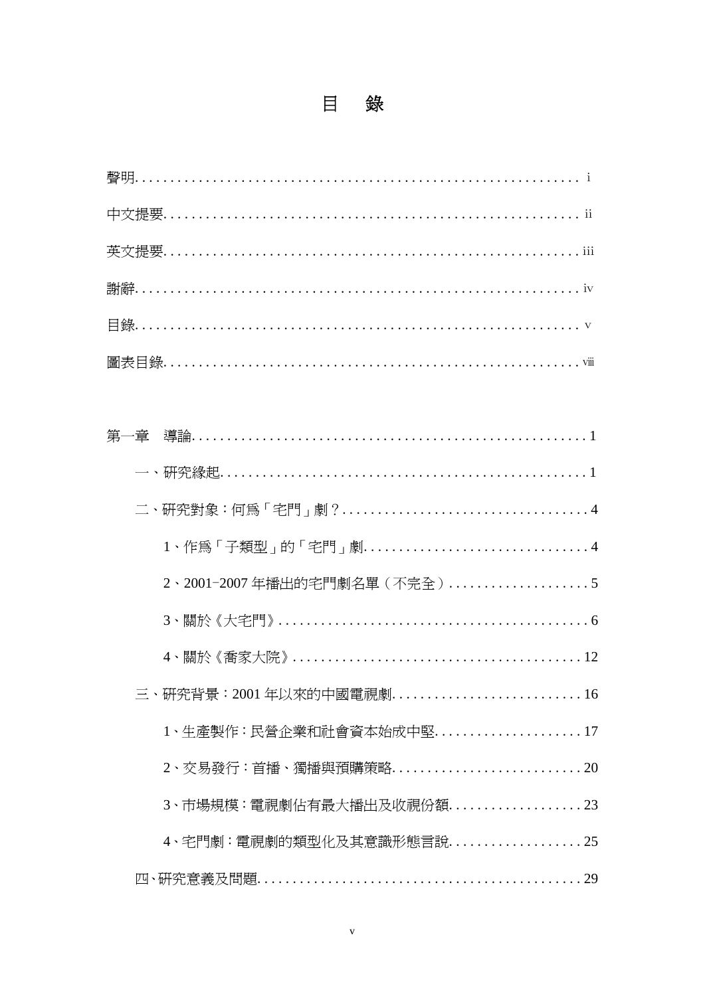| 三、研究背景:2001年以來的中國電視劇16  |
|-------------------------|
| 1、生產製作:民營企業和社會資本始成中堅17  |
|                         |
| 3、市場規模:電視劇佔有最大播出及收視份額23 |
| 4、宅門劇:電視劇的類型化及其意識形熊言說25 |
|                         |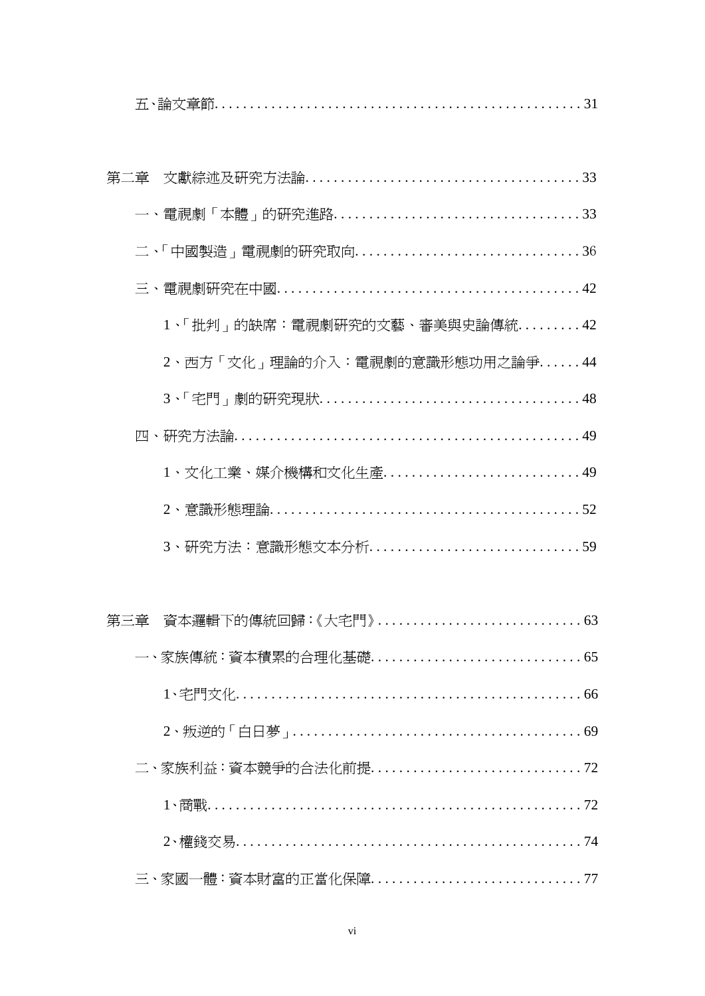| 1、「批判」的缺席:電視劇研究的文藝、審美與史論傳統42  |
|-------------------------------|
| 2、西方「文化」理論的介入:電視劇的意識形態功用之論爭44 |
|                               |
|                               |
| 1、文化工業、媒介機構和文化生產49            |
|                               |
|                               |
|                               |
|                               |
|                               |
| 66                            |
|                               |
|                               |
|                               |
|                               |
|                               |